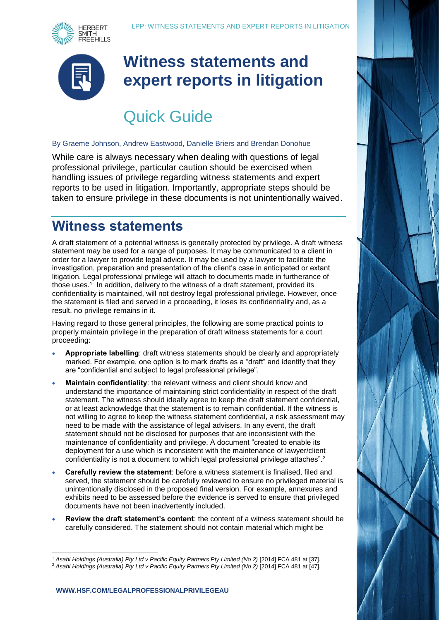



## **Witness statements and expert reports in litigation**

# Quick Guide

#### By Graeme Johnson, Andrew Eastwood, Danielle Briers and Brendan Donohue

While care is always necessary when dealing with questions of legal professional privilege, particular caution should be exercised when handling issues of privilege regarding witness statements and expert reports to be used in litigation. Importantly, appropriate steps should be taken to ensure privilege in these documents is not unintentionally waived.

#### **Witness statements**

A draft statement of a potential witness is generally protected by privilege. A draft witness statement may be used for a range of purposes. It may be communicated to a client in order for a lawyer to provide legal advice. It may be used by a lawyer to facilitate the investigation, preparation and presentation of the client's case in anticipated or extant litigation. Legal professional privilege will attach to documents made in furtherance of those uses.<sup>1</sup> In addition, delivery to the witness of a draft statement, provided its confidentiality is maintained, will not destroy legal professional privilege. However, once the statement is filed and served in a proceeding, it loses its confidentiality and, as a result, no privilege remains in it.

Having regard to those general principles, the following are some practical points to properly maintain privilege in the preparation of draft witness statements for a court proceeding:

- **Appropriate labelling**: draft witness statements should be clearly and appropriately marked. For example, one option is to mark drafts as a "draft" and identify that they are "confidential and subject to legal professional privilege".
- **Maintain confidentiality**: the relevant witness and client should know and understand the importance of maintaining strict confidentiality in respect of the draft statement. The witness should ideally agree to keep the draft statement confidential, or at least acknowledge that the statement is to remain confidential. If the witness is not willing to agree to keep the witness statement confidential, a risk assessment may need to be made with the assistance of legal advisers. In any event, the draft statement should not be disclosed for purposes that are inconsistent with the maintenance of confidentiality and privilege. A document "created to enable its deployment for a use which is inconsistent with the maintenance of lawyer/client confidentiality is not a document to which legal professional privilege attaches".<sup>2</sup>
- **Carefully review the statement**: before a witness statement is finalised, filed and served, the statement should be carefully reviewed to ensure no privileged material is unintentionally disclosed in the proposed final version. For example, annexures and exhibits need to be assessed before the evidence is served to ensure that privileged documents have not been inadvertently included.
- **Review the draft statement's content**: the content of a witness statement should be carefully considered. The statement should not contain material which might be

l <sup>1</sup> *Asahi Holdings (Australia) Pty Ltd v Pacific Equity Partners Pty Limited (No 2)* [2014] FCA 481 at [37].

<sup>2</sup> *Asahi Holdings (Australia) Pty Ltd v Pacific Equity Partners Pty Limited (No 2)* [2014] FCA 481 at [47].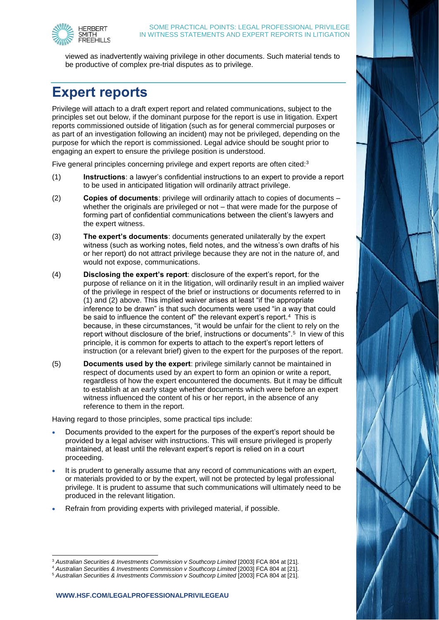

viewed as inadvertently waiving privilege in other documents. Such material tends to be productive of complex pre-trial disputes as to privilege.

### **Expert reports**

Privilege will attach to a draft expert report and related communications, subject to the principles set out below, if the dominant purpose for the report is use in litigation. Expert reports commissioned outside of litigation (such as for general commercial purposes or as part of an investigation following an incident) may not be privileged, depending on the purpose for which the report is commissioned. Legal advice should be sought prior to engaging an expert to ensure the privilege position is understood.

Five general principles concerning privilege and expert reports are often cited:<sup>3</sup>

- (1) **Instructions**: a lawyer's confidential instructions to an expert to provide a report to be used in anticipated litigation will ordinarily attract privilege.
- (2) **Copies of documents**: privilege will ordinarily attach to copies of documents whether the originals are privileged or not – that were made for the purpose of forming part of confidential communications between the client's lawyers and the expert witness.
- (3) **The expert's documents**: documents generated unilaterally by the expert witness (such as working notes, field notes, and the witness's own drafts of his or her report) do not attract privilege because they are not in the nature of, and would not expose, communications.
- (4) **Disclosing the expert's report**: disclosure of the expert's report, for the purpose of reliance on it in the litigation, will ordinarily result in an implied waiver of the privilege in respect of the brief or instructions or documents referred to in (1) and (2) above. This implied waiver arises at least "if the appropriate inference to be drawn" is that such documents were used "in a way that could be said to influence the content of" the relevant expert's report.<sup>4</sup> This is because, in these circumstances, "it would be unfair for the client to rely on the report without disclosure of the brief, instructions or documents".<sup>5</sup> In view of this principle, it is common for experts to attach to the expert's report letters of instruction (or a relevant brief) given to the expert for the purposes of the report.
- (5) **Documents used by the expert**: privilege similarly cannot be maintained in respect of documents used by an expert to form an opinion or write a report, regardless of how the expert encountered the documents. But it may be difficult to establish at an early stage whether documents which were before an expert witness influenced the content of his or her report, in the absence of any reference to them in the report.

Having regard to those principles, some practical tips include:

- Documents provided to the expert for the purposes of the expert's report should be provided by a legal adviser with instructions. This will ensure privileged is properly maintained, at least until the relevant expert's report is relied on in a court proceeding.
- It is prudent to generally assume that any record of communications with an expert, or materials provided to or by the expert, will not be protected by legal professional privilege. It is prudent to assume that such communications will ultimately need to be produced in the relevant litigation.
- Refrain from providing experts with privileged material, if possible.

l <sup>3</sup> *Australian Securities & Investments Commission v Southcorp Limited* [2003] FCA 804 at [21].

<sup>4</sup> *Australian Securities & Investments Commission v Southcorp Limited* [2003] FCA 804 at [21].

<sup>5</sup> *Australian Securities & Investments Commission v Southcorp Limited* [2003] FCA 804 at [21].